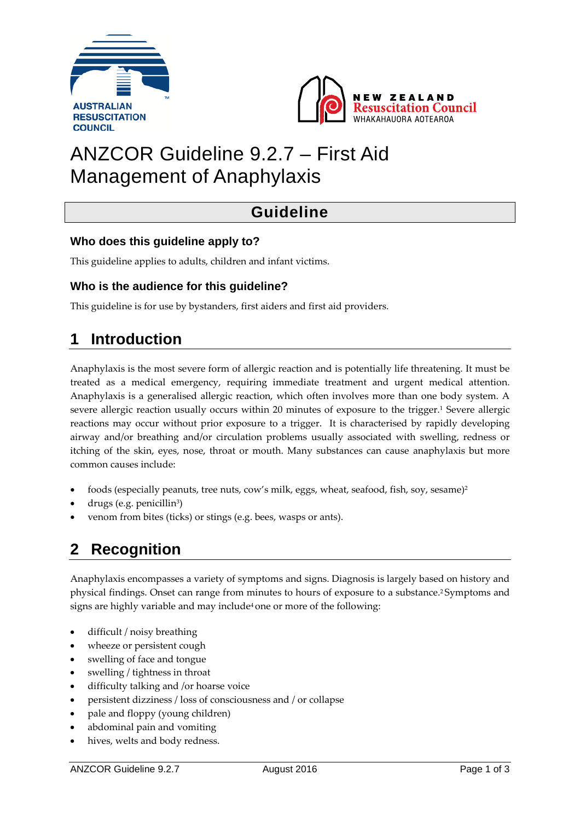



# ANZCOR Guideline 9.2.7 – First Aid Management of Anaphylaxis

# **Guideline**

### **Who does this guideline apply to?**

This guideline applies to adults, children and infant victims.

#### **Who is the audience for this guideline?**

This guideline is for use by bystanders, first aiders and first aid providers.

## **1 Introduction**

Anaphylaxis is the most severe form of allergic reaction and is potentially life threatening. It must be treated as a medical emergency, requiring immediate treatment and urgent medical attention. Anaphylaxis is a generalised allergic reaction, which often involves more than one body system. A severe allergic reaction usually occurs within 20 minutes of exposure to the trigger.1 Severe allergic reactions may occur without prior exposure to a trigger. It is characterised by rapidly developing airway and/or breathing and/or circulation problems usually associated with swelling, redness or itching of the skin, eyes, nose, throat or mouth. Many substances can cause anaphylaxis but more common causes include:

- foods (especially peanuts, tree nuts, cow's milk, eggs, wheat, seafood, fish, soy, sesame)<sup>2</sup>
- drugs (e.g. penicillin3)
- venom from bites (ticks) or stings (e.g. bees, wasps or ants).

# **2 Recognition**

Anaphylaxis encompasses a variety of symptoms and signs. Diagnosis is largely based on history and physical findings. Onset can range from minutes to hours of exposure to a substance.2 Symptoms and signs are highly variable and may include<sup>4</sup> one or more of the following:

- difficult / noisy breathing
- wheeze or persistent cough
- swelling of face and tongue
- swelling / tightness in throat
- difficulty talking and /or hoarse voice
- persistent dizziness / loss of consciousness and / or collapse
- pale and floppy (young children)
- abdominal pain and vomiting
- hives, welts and body redness.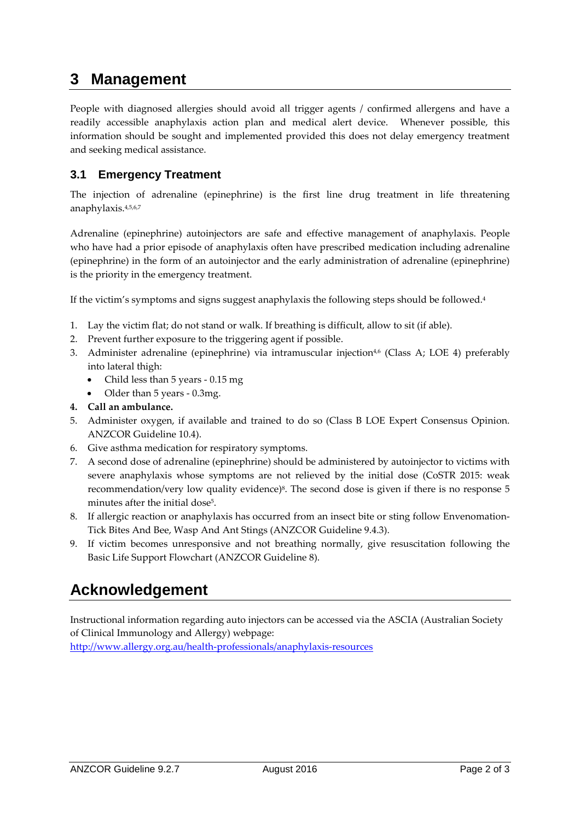### **3 Management**

People with diagnosed allergies should avoid all trigger agents / confirmed allergens and have a readily accessible anaphylaxis action plan and medical alert device. Whenever possible, this information should be sought and implemented provided this does not delay emergency treatment and seeking medical assistance.

### **3.1 Emergency Treatment**

The injection of adrenaline (epinephrine) is the first line drug treatment in life threatening anaphylaxis.4,5,6,7

Adrenaline (epinephrine) autoinjectors are safe and effective management of anaphylaxis. People who have had a prior episode of anaphylaxis often have prescribed medication including adrenaline (epinephrine) in the form of an autoinjector and the early administration of adrenaline (epinephrine) is the priority in the emergency treatment.

If the victim's symptoms and signs suggest anaphylaxis the following steps should be followed.4

- 1. Lay the victim flat; do not stand or walk. If breathing is difficult, allow to sit (if able).
- 2. Prevent further exposure to the triggering agent if possible.
- 3. Administer adrenaline (epinephrine) via intramuscular injection<sup>4,6</sup> (Class A; LOE 4) preferably into lateral thigh:
	- Child less than 5 years 0.15 mg
	- Older than 5 years 0.3mg.
- **4. Call an ambulance.**
- 5. Administer oxygen, if available and trained to do so (Class B LOE Expert Consensus Opinion. ANZCOR Guideline 10.4).
- 6. Give asthma medication for respiratory symptoms.
- 7. A second dose of adrenaline (epinephrine) should be administered by autoinjector to victims with severe anaphylaxis whose symptoms are not relieved by the initial dose (CoSTR 2015: weak recommendation/very low quality evidence)8. The second dose is given if there is no response 5 minutes after the initial dose<sup>5</sup>.
- 8. If allergic reaction or anaphylaxis has occurred from an insect bite or sting follow Envenomation-Tick Bites And Bee, Wasp And Ant Stings (ANZCOR Guideline 9.4.3).
- 9. If victim becomes unresponsive and not breathing normally, give resuscitation following the Basic Life Support Flowchart (ANZCOR Guideline 8).

# **Acknowledgement**

Instructional information regarding auto injectors can be accessed via the ASCIA (Australian Society of Clinical Immunology and Allergy) webpage: <http://www.allergy.org.au/health-professionals/anaphylaxis-resources>